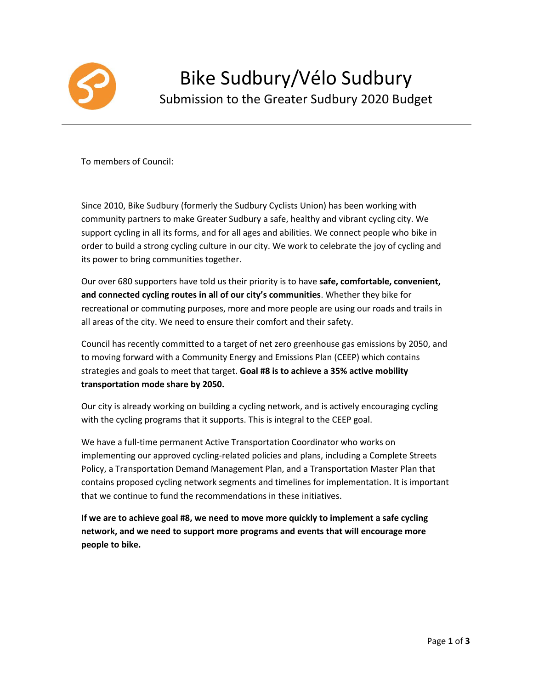

To members of Council:

Since 2010, Bike Sudbury (formerly the Sudbury Cyclists Union) has been working with community partners to make Greater Sudbury a safe, healthy and vibrant cycling city. We support cycling in all its forms, and for all ages and abilities. We connect people who bike in order to build a strong cycling culture in our city. We work to celebrate the joy of cycling and its power to bring communities together.

Our over 680 supporters have told us their priority is to have **safe, comfortable, convenient, and connected cycling routes in all of our city's communities**. Whether they bike for recreational or commuting purposes, more and more people are using our roads and trails in all areas of the city. We need to ensure their comfort and their safety.

Council has recently committed to a target of net zero greenhouse gas emissions by 2050, and to moving forward with a Community Energy and Emissions Plan (CEEP) which contains strategies and goals to meet that target. **Goal #8 is to achieve a 35% active mobility transportation mode share by 2050.**

Our city is already working on building a cycling network, and is actively encouraging cycling with the cycling programs that it supports. This is integral to the CEEP goal.

We have a full-time permanent Active Transportation Coordinator who works on implementing our approved cycling-related policies and plans, including a Complete Streets Policy, a Transportation Demand Management Plan, and a Transportation Master Plan that contains proposed cycling network segments and timelines for implementation. It is important that we continue to fund the recommendations in these initiatives.

**If we are to achieve goal #8, we need to move more quickly to implement a safe cycling network, and we need to support more programs and events that will encourage more people to bike.**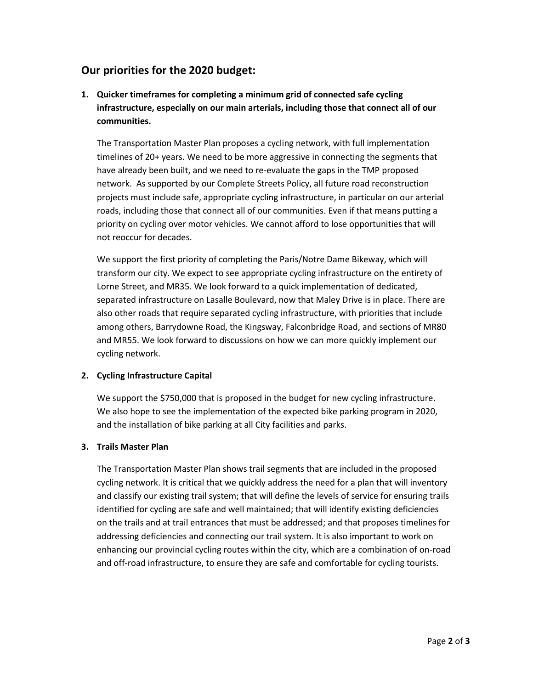### **Our priorities for the 2020 budget:**

**1. Quicker timeframes for completing a minimum grid of connected safe cycling infrastructure, especially on our main arterials, including those that connect all of our communities.**

The Transportation Master Plan proposes a cycling network, with full implementation timelines of 20+ years. We need to be more aggressive in connecting the segments that have already been built, and we need to re-evaluate the gaps in the TMP proposed network. As supported by our Complete Streets Policy, all future road reconstruction projects must include safe, appropriate cycling infrastructure, in particular on our arterial roads, including those that connect all of our communities. Even if that means putting a priority on cycling over motor vehicles. We cannot afford to lose opportunities that will not reoccur for decades.

We support the first priority of completing the Paris/Notre Dame Bikeway, which will transform our city. We expect to see appropriate cycling infrastructure on the entirety of Lorne Street, and MR35. We look forward to a quick implementation of dedicated, separated infrastructure on Lasalle Boulevard, now that Maley Drive is in place. There are also other roads that require separated cycling infrastructure, with priorities that include among others, Barrydowne Road, the Kingsway, Falconbridge Road, and sections of MR80 and MR55. We look forward to discussions on how we can more quickly implement our cycling network.

#### **2. Cycling Infrastructure Capital**

We support the \$750,000 that is proposed in the budget for new cycling infrastructure. We also hope to see the implementation of the expected bike parking program in 2020, and the installation of bike parking at all City facilities and parks.

#### **3. Trails Master Plan**

The Transportation Master Plan shows trail segments that are included in the proposed cycling network. It is critical that we quickly address the need for a plan that will inventory and classify our existing trail system; that will define the levels of service for ensuring trails identified for cycling are safe and well maintained; that will identify existing deficiencies on the trails and at trail entrances that must be addressed; and that proposes timelines for addressing deficiencies and connecting our trail system. It is also important to work on enhancing our provincial cycling routes within the city, which are a combination of on-road and off-road infrastructure, to ensure they are safe and comfortable for cycling tourists.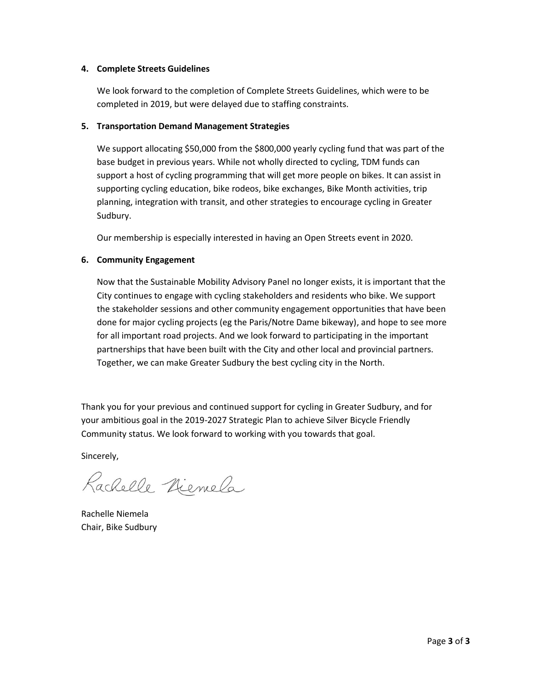#### **4. Complete Streets Guidelines**

We look forward to the completion of Complete Streets Guidelines, which were to be completed in 2019, but were delayed due to staffing constraints.

#### **5. Transportation Demand Management Strategies**

We support allocating \$50,000 from the \$800,000 yearly cycling fund that was part of the base budget in previous years. While not wholly directed to cycling, TDM funds can support a host of cycling programming that will get more people on bikes. It can assist in supporting cycling education, bike rodeos, bike exchanges, Bike Month activities, trip planning, integration with transit, and other strategies to encourage cycling in Greater Sudbury.

Our membership is especially interested in having an Open Streets event in 2020.

#### **6. Community Engagement**

Now that the Sustainable Mobility Advisory Panel no longer exists, it is important that the City continues to engage with cycling stakeholders and residents who bike. We support the stakeholder sessions and other community engagement opportunities that have been done for major cycling projects (eg the Paris/Notre Dame bikeway), and hope to see more for all important road projects. And we look forward to participating in the important partnerships that have been built with the City and other local and provincial partners. Together, we can make Greater Sudbury the best cycling city in the North.

Thank you for your previous and continued support for cycling in Greater Sudbury, and for your ambitious goal in the 2019-2027 Strategic Plan to achieve Silver Bicycle Friendly Community status. We look forward to working with you towards that goal.

Sincerely,

Rachelle Niemela

Rachelle Niemela Chair, Bike Sudbury